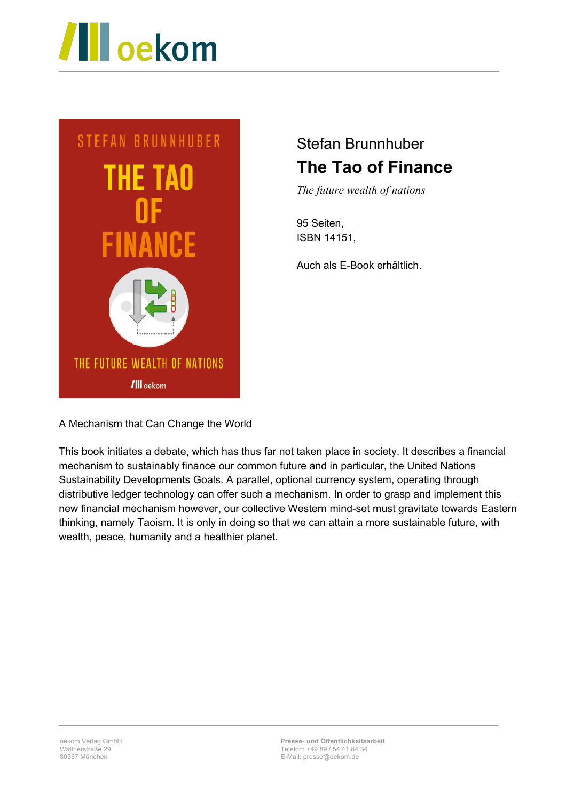



## Stefan Brunnhuber **The Tao of Finance**

*The future wealth of nations*

95 Seiten, ISBN 14151,

Auch als E-Book erhältlich.

A Mechanism that Can Change the World

This book initiates a debate, which has thus far not taken place in society. It describes a financial mechanism to sustainably finance our common future and in particular, the United Nations Sustainability Developments Goals. A parallel, optional currency system, operating through distributive ledger technology can offer such a mechanism. In order to grasp and implement this new financial mechanism however, our collective Western mind-set must gravitate towards Eastern thinking, namely Taoism. It is only in doing so that we can attain a more sustainable future, with wealth, peace, humanity and a healthier planet.